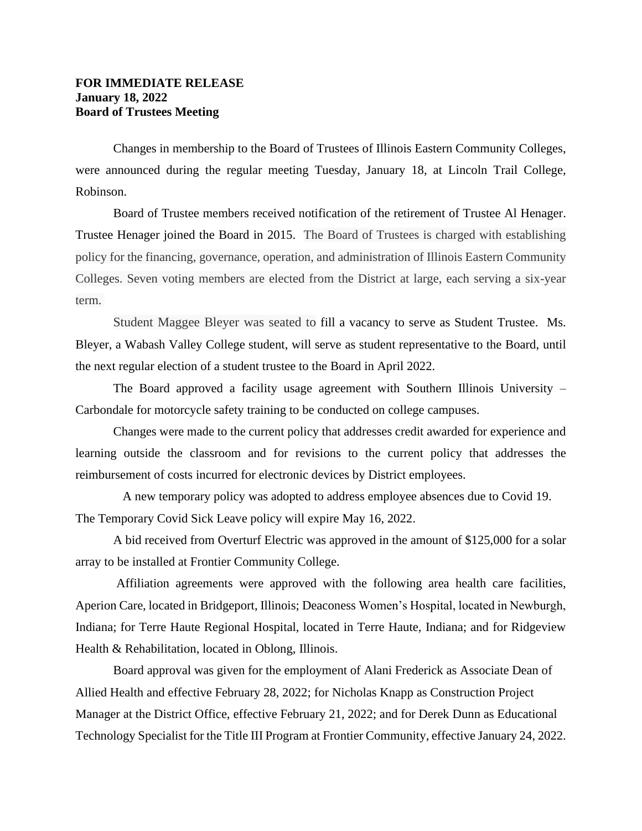## **FOR IMMEDIATE RELEASE January 18, 2022 Board of Trustees Meeting**

Changes in membership to the Board of Trustees of Illinois Eastern Community Colleges, were announced during the regular meeting Tuesday, January 18, at Lincoln Trail College, Robinson.

Board of Trustee members received notification of the retirement of Trustee Al Henager. Trustee Henager joined the Board in 2015. The Board of Trustees is charged with establishing policy for the financing, governance, operation, and administration of Illinois Eastern Community Colleges. Seven voting members are elected from the District at large, each serving a six-year term.

Student Maggee Bleyer was seated to fill a vacancy to serve as Student Trustee. Ms. Bleyer, a Wabash Valley College student, will serve as student representative to the Board, until the next regular election of a student trustee to the Board in April 2022.

The Board approved a facility usage agreement with Southern Illinois University – Carbondale for motorcycle safety training to be conducted on college campuses.

Changes were made to the current policy that addresses credit awarded for experience and learning outside the classroom and for revisions to the current policy that addresses the reimbursement of costs incurred for electronic devices by District employees.

A new temporary policy was adopted to address employee absences due to Covid 19. The Temporary Covid Sick Leave policy will expire May 16, 2022.

A bid received from Overturf Electric was approved in the amount of \$125,000 for a solar array to be installed at Frontier Community College.

Affiliation agreements were approved with the following area health care facilities, Aperion Care, located in Bridgeport, Illinois; Deaconess Women's Hospital, located in Newburgh, Indiana; for Terre Haute Regional Hospital, located in Terre Haute, Indiana; and for Ridgeview Health & Rehabilitation, located in Oblong, Illinois.

Board approval was given for the employment of Alani Frederick as Associate Dean of Allied Health and effective February 28, 2022; for Nicholas Knapp as Construction Project Manager at the District Office, effective February 21, 2022; and for Derek Dunn as Educational Technology Specialist for the Title III Program at Frontier Community, effective January 24, 2022.